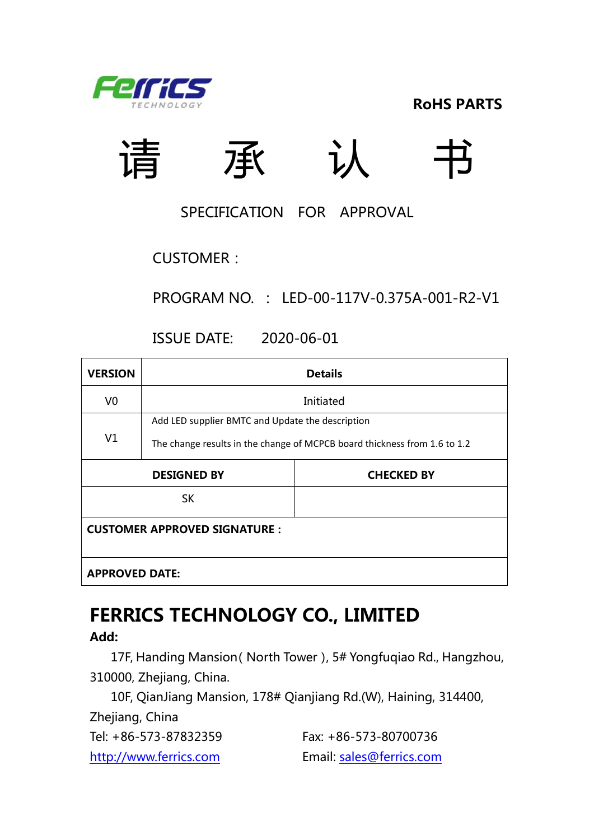

**RoHS PARTS**



#### SPECIFICATION FOR APPROVAL

CUSTOMER:

PROGRAM NO. : LED-00-117V-0.375A-001-R2-V1

ISSUE DATE: 2020-06-01

| <b>VERSION</b>                          | <b>Details</b>                                   |                                                                           |  |  |  |  |
|-----------------------------------------|--------------------------------------------------|---------------------------------------------------------------------------|--|--|--|--|
| V0                                      | Initiated                                        |                                                                           |  |  |  |  |
|                                         | Add LED supplier BMTC and Update the description |                                                                           |  |  |  |  |
| V1                                      |                                                  | The change results in the change of MCPCB board thickness from 1.6 to 1.2 |  |  |  |  |
| <b>DESIGNED BY</b><br><b>CHECKED BY</b> |                                                  |                                                                           |  |  |  |  |
|                                         | <b>SK</b>                                        |                                                                           |  |  |  |  |
| <b>CUSTOMER APPROVED SIGNATURE :</b>    |                                                  |                                                                           |  |  |  |  |
| <b>APPROVED DATE:</b>                   |                                                  |                                                                           |  |  |  |  |

## **FERRICS TECHNOLOGY CO., LIMITED**

**Add:**

17F, Handing Mansion(North Tower), 5# Yongfuqiao Rd., Hangzhou, 310000, Zhejiang, China.

10F, QianJiang Mansion, 178# Qianjiang Rd.(W), Haining, 314400, Zhejiang, China

Tel: +86-573-87832359 Fax: +86-573-80700736

[http://www.ferrics.com](http://www.ferrics.com/) Email: [sales@ferrics.com](mailto:sales@ferrics.com)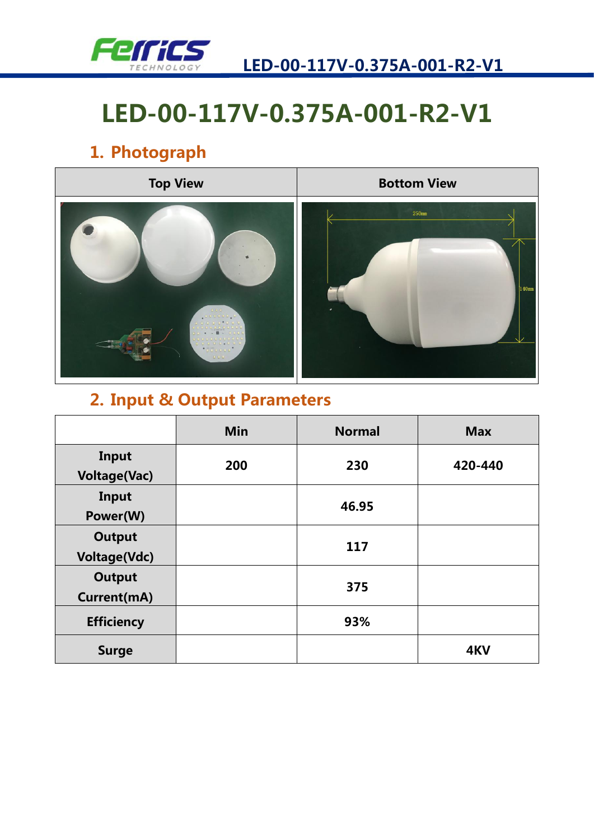

## **1. Photograph**



### **2. Input & Output Parameters**

|                                      | <b>Min</b> | <b>Normal</b> | <b>Max</b> |
|--------------------------------------|------------|---------------|------------|
| Input<br><b>Voltage(Vac)</b>         | 200        | 230           | 420-440    |
| Input<br>Power(W)                    |            | 46.95         |            |
| <b>Output</b><br><b>Voltage(Vdc)</b> |            | 117           |            |
| <b>Output</b><br>Current(mA)         |            | 375           |            |
| <b>Efficiency</b>                    |            | 93%           |            |
| <b>Surge</b>                         |            |               | 4KV        |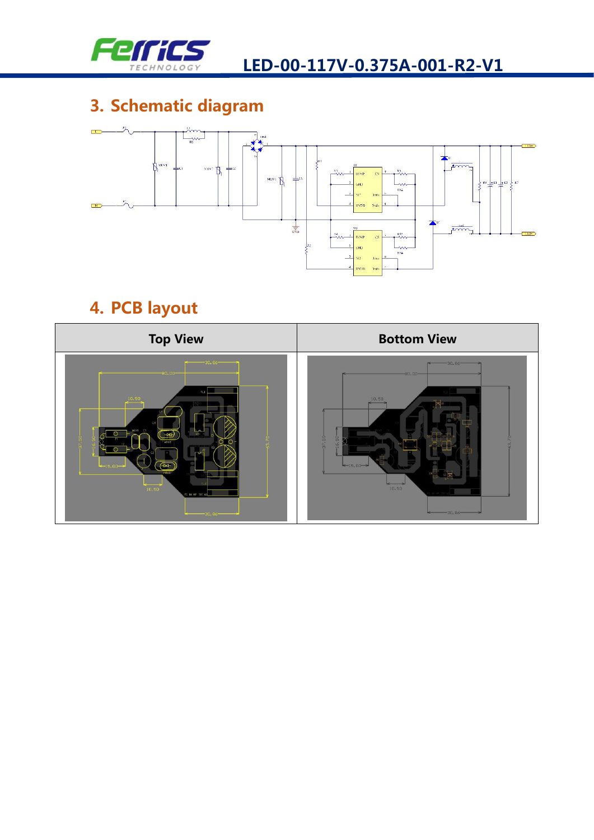

## **3. Schematic diagram**



### **4. PCB layout**

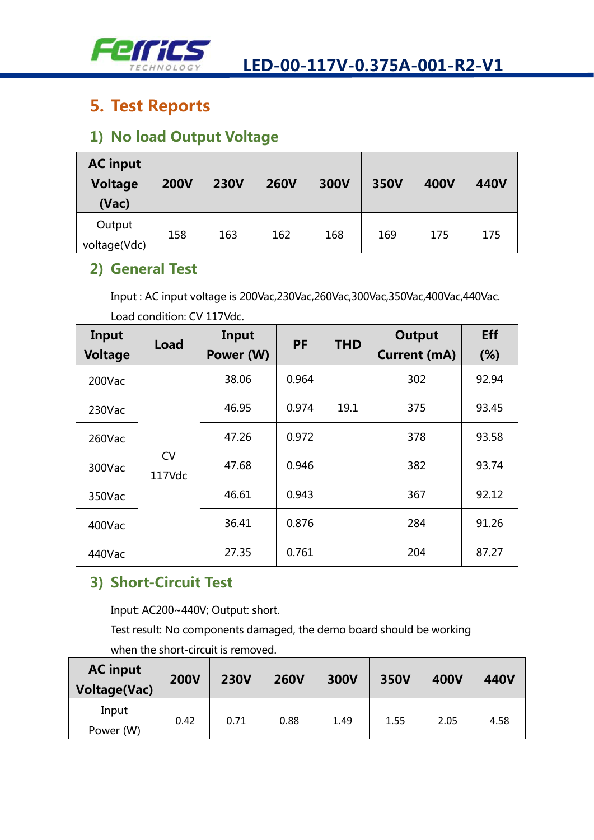

### **5. Test Reports**

#### **1) No load Output Voltage**

| <b>AC input</b><br><b>Voltage</b><br>(Vac) | <b>200V</b> | <b>230V</b> | <b>260V</b> | 300V | 350V | <b>400V</b> | 440V |
|--------------------------------------------|-------------|-------------|-------------|------|------|-------------|------|
| Output<br>voltage(Vdc)                     | 158         | 163         | 162         | 168  | 169  | 175         | 175  |

#### **2) General Test**

Input : AC input voltage is 200Vac,230Vac,260Vac,300Vac,350Vac,400Vac,440Vac. Load condition: CV 117Vdc.

| Input          | Load                | Input     | <b>PF</b> | <b>THD</b> | <b>Output</b>       | Eff   |
|----------------|---------------------|-----------|-----------|------------|---------------------|-------|
| <b>Voltage</b> |                     | Power (W) |           |            | <b>Current (mA)</b> | (%)   |
| 200Vac         |                     | 38.06     | 0.964     |            | 302                 | 92.94 |
| 230Vac         | <b>CV</b><br>117Vdc | 46.95     | 0.974     | 19.1       | 375                 | 93.45 |
| 260Vac         |                     | 47.26     | 0.972     |            | 378                 | 93.58 |
| 300Vac         |                     | 47.68     | 0.946     |            | 382                 | 93.74 |
| 350Vac         |                     | 46.61     | 0.943     |            | 367                 | 92.12 |
| 400Vac         |                     | 36.41     | 0.876     |            | 284                 | 91.26 |
| 440Vac         |                     | 27.35     | 0.761     |            | 204                 | 87.27 |

#### **3) Short-Circuit Test**

Input: AC200~440V; Output: short.

Test result: No components damaged, the demo board should be working

when the short-circuit is removed.

| <b>AC input</b><br><b>Voltage(Vac)</b> | <b>200V</b> | <b>230V</b> | <b>260V</b> | 300V | 350V | <b>400V</b> | 440V |
|----------------------------------------|-------------|-------------|-------------|------|------|-------------|------|
| Input<br>Power (W)                     | 0.42        | 0.71        | 0.88        | 1.49 | 1.55 | 2.05        | 4.58 |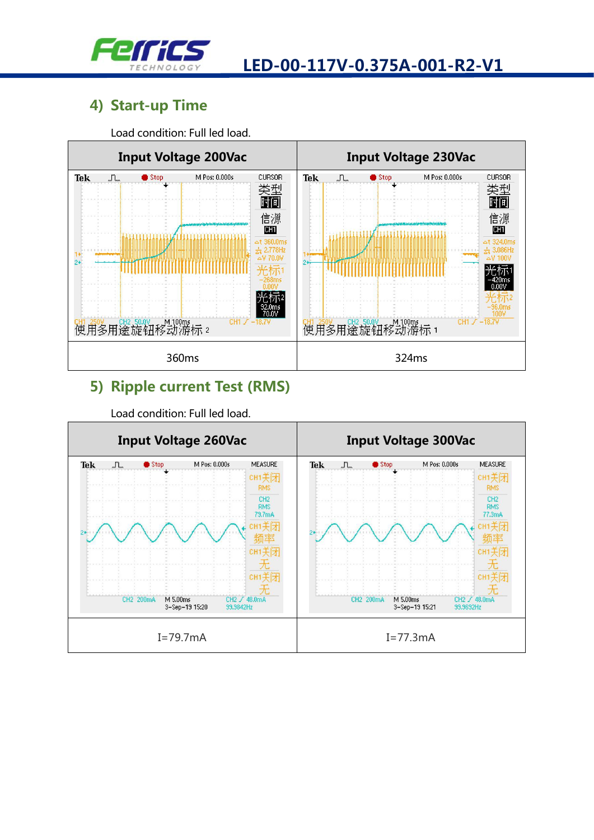

#### **4) Start-up Time**

Load condition: Full led load.



#### **5) Ripple current Test (RMS)**



Load condition: Full led load.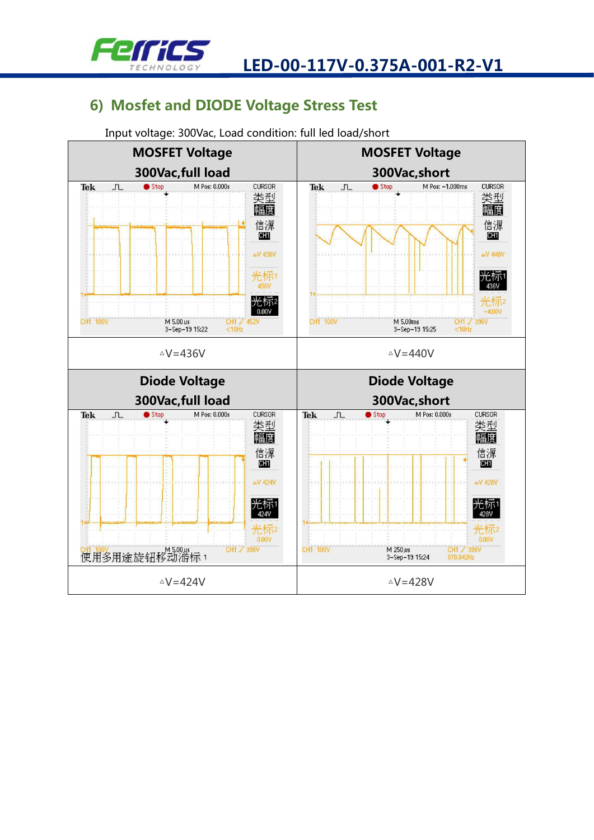

#### **6) Mosfet and DIODE Voltage Stress Test**



Input voltage: 300Vac, Load condition: full led load/short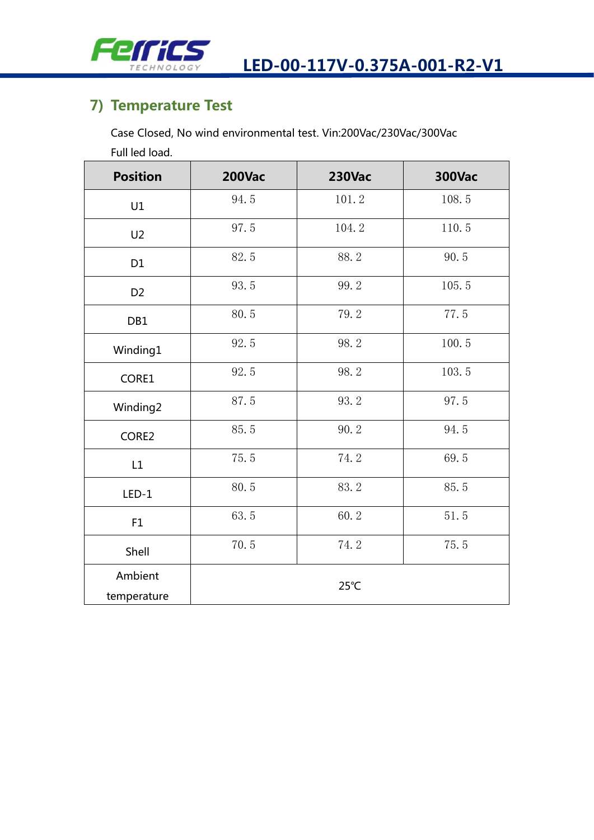

#### **7) Temperature Test**

Case Closed, No wind environmental test. Vin:200Vac/230Vac/300Vac

Full led load.

| <b>Position</b>        | <b>200Vac</b> | <b>230Vac</b> | <b>300Vac</b> |
|------------------------|---------------|---------------|---------------|
| U1                     | 94.5          | 101.2         | 108.5         |
| U <sub>2</sub>         | 97.5          | 104.2         | 110.5         |
| D <sub>1</sub>         | 82.5          | 88.2          | 90.5          |
| D <sub>2</sub>         | 93.5          | 99.2          | 105.5         |
| DB1                    | 80.5          | 79.2          | 77.5          |
| Winding1               | 92.5          | 98.2          | 100.5         |
| CORE1                  | 92.5          | 98.2          | 103.5         |
| Winding2               | 87.5          | 93.2          | 97.5          |
| CORE2                  | 85.5          | 90.2          | 94.5          |
| L1                     | 75.5          | 74.2          | 69.5          |
| $LED-1$                | 80.5          | 83.2          | 85.5          |
| F1                     | 63.5          | 60.2          | 51.5          |
| Shell                  | 70.5          | 74.2          | 75.5          |
| Ambient<br>temperature |               | 25°C          |               |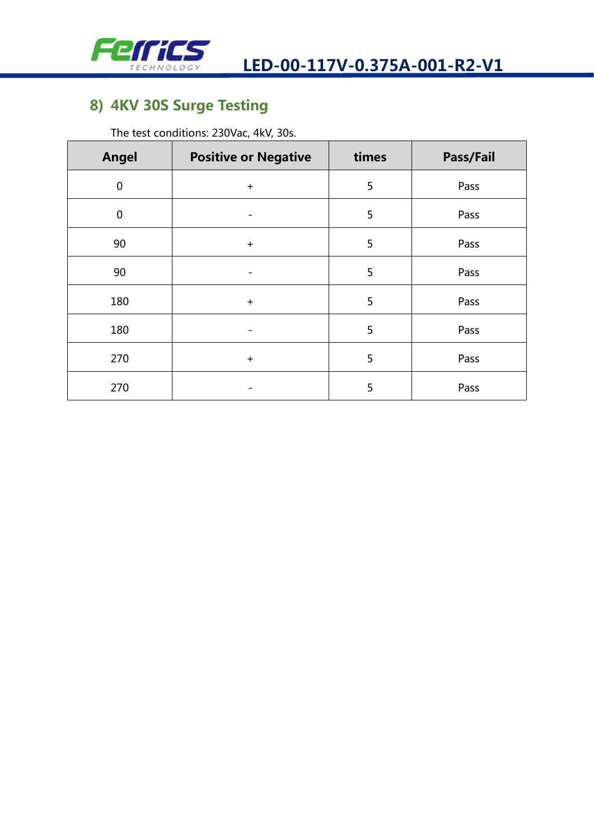

### **8) 4KV 30SSurge Testing**

The test conditions: 230Vac, 4kV, 30s.

| <b>Angel</b> | <b>Positive or Negative</b> | times | Pass/Fail |  |
|--------------|-----------------------------|-------|-----------|--|
| $\pmb{0}$    | $+$                         | 5     | Pass      |  |
| $\mathbf 0$  |                             | 5     | Pass      |  |
| 90           | $+$                         | 5     | Pass      |  |
| 90           |                             | 5     | Pass      |  |
| 180          | $+$                         | 5     | Pass      |  |
| 180          |                             | 5     | Pass      |  |
| 270          | $+$                         | 5     | Pass      |  |
| 270          |                             | 5     | Pass      |  |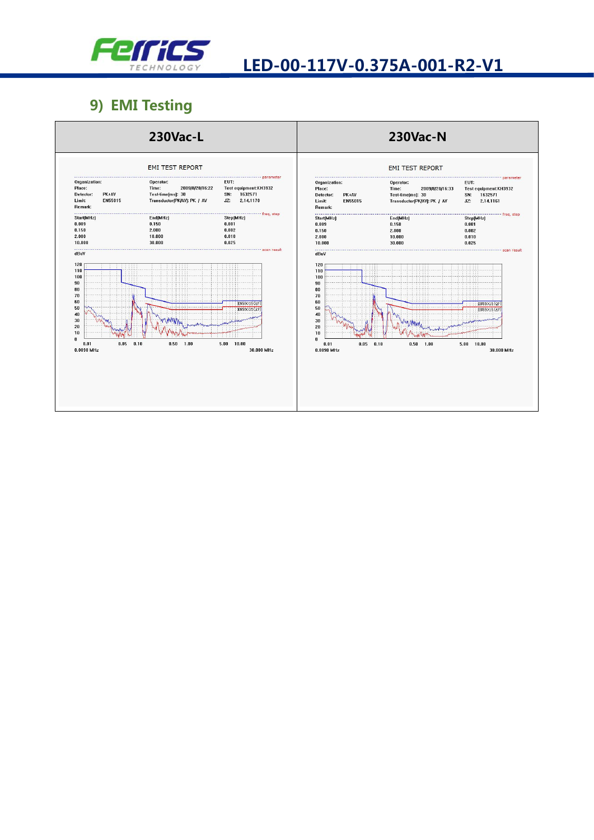

#### 9) EMI Testing